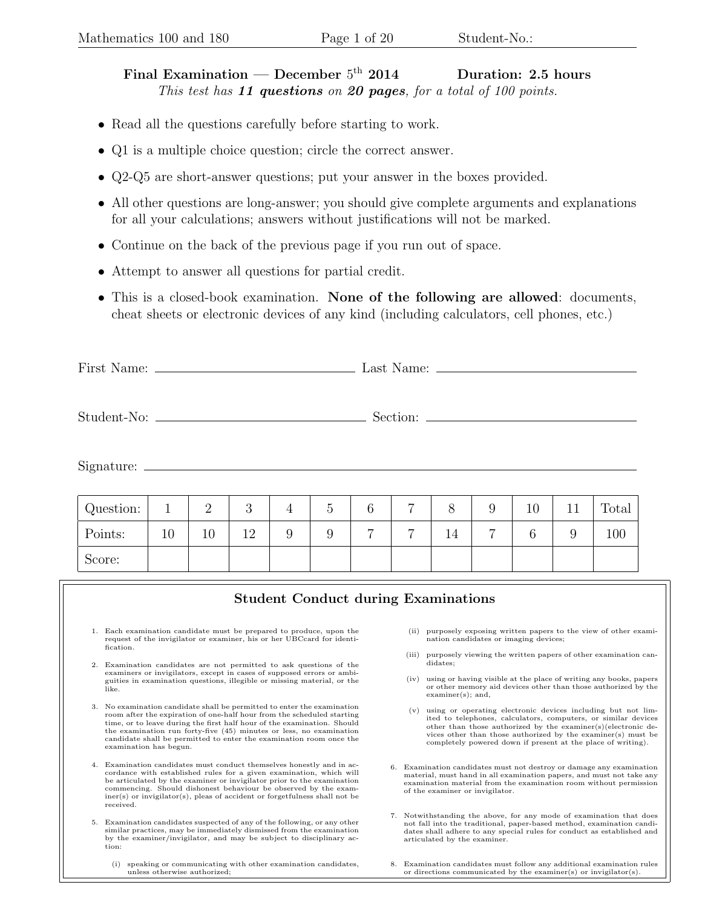## Final Examination — December  $5<sup>th</sup>$  2014 Duration: 2.5 hours This test has  $11$  questions on 20 pages, for a total of 100 points.

- Read all the questions carefully before starting to work.
- Q1 is a multiple choice question; circle the correct answer.
- Q2-Q5 are short-answer questions; put your answer in the boxes provided.
- All other questions are long-answer; you should give complete arguments and explanations for all your calculations; answers without justifications will not be marked.
- Continue on the back of the previous page if you run out of space.
- Attempt to answer all questions for partial credit.
- This is a closed-book examination. None of the following are allowed: documents, cheat sheets or electronic devices of any kind (including calculators, cell phones, etc.)

First Name: Last Name:

Student-No: Section:

Signature:

| Question: |    |    | $\Omega$<br>◡ |   | G | ⌒<br>0         | $\overline{ }$ |    |                | 10 | ⊥⊥ | Total |
|-----------|----|----|---------------|---|---|----------------|----------------|----|----------------|----|----|-------|
| Points:   | 10 | 10 | 12            | 9 | 9 | $\overline{ }$ | $\overline{ }$ | 14 | $\overline{ }$ |    | ر, | 100   |
| Score:    |    |    |               |   |   |                |                |    |                |    |    |       |

| <b>Student Conduct during Examinations</b>                                                                                                                                                                                                                                                                                                                                                           |    |                                                                                                                                                                                                                                                                                                                                        |
|------------------------------------------------------------------------------------------------------------------------------------------------------------------------------------------------------------------------------------------------------------------------------------------------------------------------------------------------------------------------------------------------------|----|----------------------------------------------------------------------------------------------------------------------------------------------------------------------------------------------------------------------------------------------------------------------------------------------------------------------------------------|
| 1. Each examination candidate must be prepared to produce, upon the<br>request of the invigilator or examiner, his or her UBCcard for identi-<br>fication.                                                                                                                                                                                                                                           |    | purposely exposing written papers to the view of other exami-<br>(ii)<br>nation candidates or imaging devices;<br>purposely viewing the written papers of other examination can-<br>(iii)                                                                                                                                              |
| 2. Examination candidates are not permitted to ask questions of the                                                                                                                                                                                                                                                                                                                                  |    | didates;                                                                                                                                                                                                                                                                                                                               |
| examiners or invigilators, except in cases of supposed errors or ambi-<br>guities in examination questions, illegible or missing material, or the<br>like.                                                                                                                                                                                                                                           |    | using or having visible at the place of writing any books, papers<br>(iv)<br>or other memory aid devices other than those authorized by the<br>$examine(s);$ and,                                                                                                                                                                      |
| 3. No examination candidate shall be permitted to enter the examination<br>room after the expiration of one-half hour from the scheduled starting<br>time, or to leave during the first half hour of the examination. Should<br>the examination run forty-five (45) minutes or less, no examination<br>candidate shall be permitted to enter the examination room once the<br>examination has begun. |    | using or operating electronic devices including but not lim-<br>(v)<br>ited to telephones, calculators, computers, or similar devices<br>other than those authorized by the examiner(s)(electronic de-<br>vices other than those authorized by the examiner(s) must be<br>completely powered down if present at the place of writing). |
| 4. Examination candidates must conduct themselves honestly and in ac-<br>cordance with established rules for a given examination, which will<br>be articulated by the examiner or invigilator prior to the examination<br>commencing. Should dishonest behaviour be observed by the exam-<br>$\text{iner}(s)$ or invigilator(s), pleas of accident or forgetfulness shall not be<br>received.        | 6. | Examination candidates must not destroy or damage any examination<br>material, must hand in all examination papers, and must not take any<br>examination material from the examination room without permission<br>of the examiner or invigilator.                                                                                      |
| 5. Examination candidates suspected of any of the following, or any other<br>similar practices, may be immediately dismissed from the examination<br>by the examiner/invigilator, and may be subject to disciplinary ac-<br>tion:                                                                                                                                                                    |    | 7. Notwithstanding the above, for any mode of examination that does<br>not fall into the traditional, paper-based method, examination candi-<br>dates shall adhere to any special rules for conduct as established and<br>articulated by the examiner.                                                                                 |
| speaking or communicating with other examination candidates,<br>(i)<br>unless otherwise authorized;                                                                                                                                                                                                                                                                                                  |    | 8. Examination candidates must follow any additional examination rules<br>or directions communicated by the examiner(s) or invigilator(s).                                                                                                                                                                                             |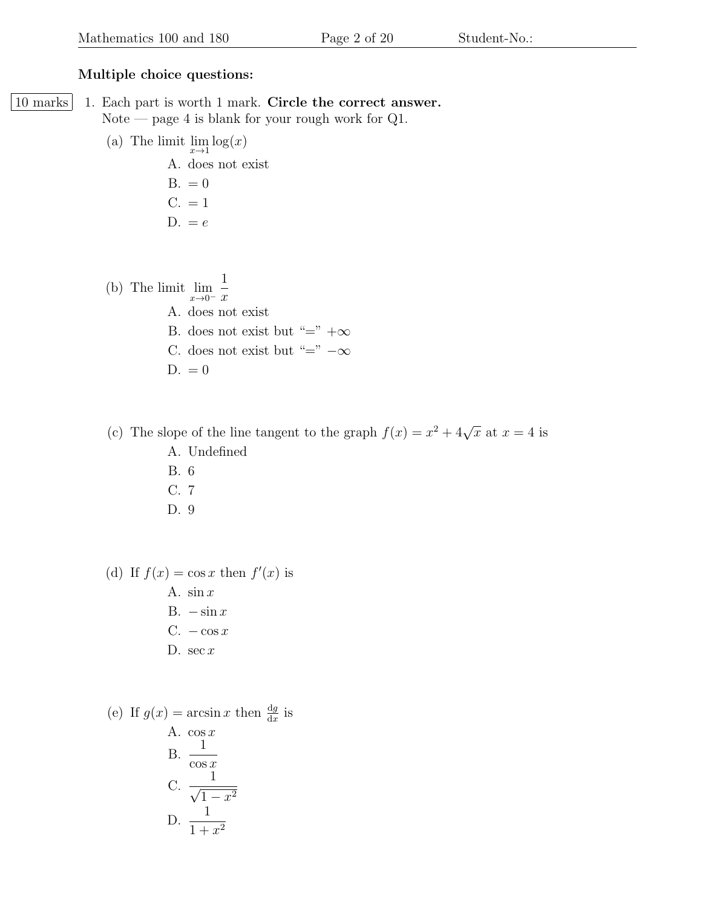## Multiple choice questions:

- 10 marks 1. Each part is worth 1 mark. Circle the correct answer. Note — page 4 is blank for your rough work for  $Q1$ .
	- (a) The limit  $\lim_{x\to 1} \log(x)$ 
		- A. does not exist  $B. = 0$  $C. = 1$

$$
D. = e
$$

(b) The limit  $\lim_{x\to 0^-}$ 1  $\boldsymbol{x}$ A. does not exist B. does not exist but "="  $+\infty$ C. does not exist but "="  $-\infty$  $D. = 0$ 

(c) The slope of the line tangent to the graph  $f(x) = x^2 + 4\sqrt{x}$  at  $x = 4$  is A. Undefined B. 6 C. 7

D. 9

(d) If  $f(x) = \cos x$  then  $f'(x)$  is A.  $\sin x$ B.  $-\sin x$ C.  $-\cos x$ D. sec  $x$ 

(e) If 
$$
g(x) = \arcsin x
$$
 then  $\frac{dg}{dx}$  is  
\nA.  $\cos x$   
\nB.  $\frac{1}{\cos x}$   
\nC.  $\frac{1}{\sqrt{1-x^2}}$   
\nD.  $\frac{1}{1+x^2}$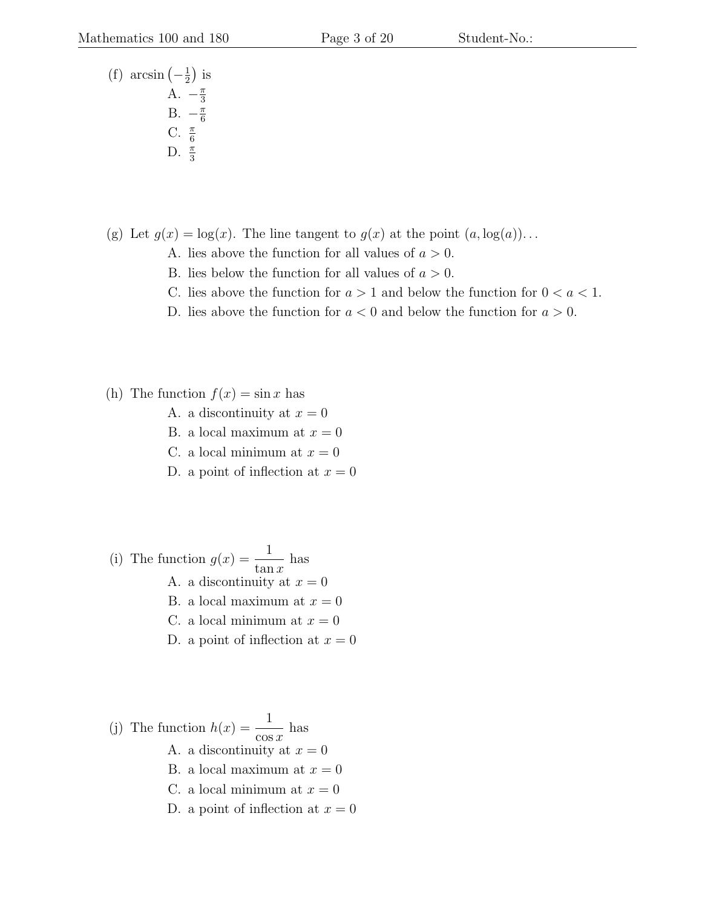(f) arcsin  $\left(-\frac{1}{2}\right)$  $rac{1}{2}$ ) is A.  $-\frac{\pi}{3}$ 3 B.  $-\frac{\pi}{6}$ 6 C.  $\frac{\pi}{6}$ D.  $\frac{\pi}{3}$ 

(g) Let  $q(x) = \log(x)$ . The line tangent to  $q(x)$  at the point  $(a, \log(a))$ ...

- A. lies above the function for all values of  $a > 0$ .
- B. lies below the function for all values of  $a > 0$ .
- C. lies above the function for  $a > 1$  and below the function for  $0 < a < 1$ .
- D. lies above the function for  $a < 0$  and below the function for  $a > 0$ .
- (h) The function  $f(x) = \sin x$  has
	- A. a discontinuity at  $x = 0$
	- B. a local maximum at  $x = 0$
	- C. a local minimum at  $x = 0$
	- D. a point of inflection at  $x = 0$
- (i) The function  $g(x) = \frac{1}{x}$  $\tan x$ has A. a discontinuity at  $x = 0$ B. a local maximum at  $x = 0$ C. a local minimum at  $x = 0$ D. a point of inflection at  $x = 0$
- (j) The function  $h(x) = \frac{1}{x}$  $\cos x$ has A. a discontinuity at  $x = 0$ B. a local maximum at  $x = 0$ C. a local minimum at  $x = 0$ D. a point of inflection at  $x = 0$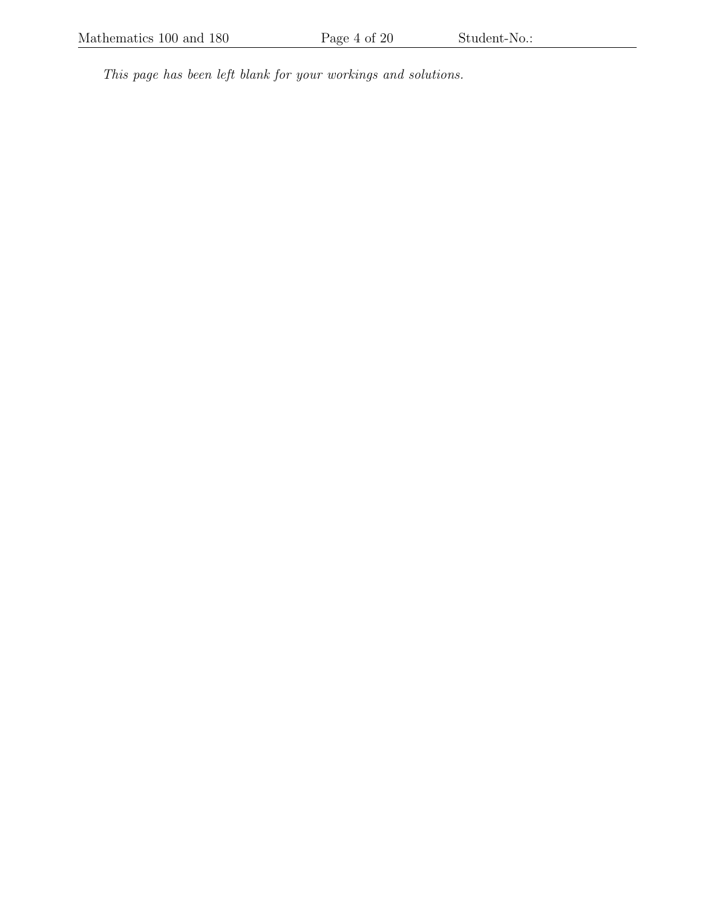This page has been left blank for your workings and solutions.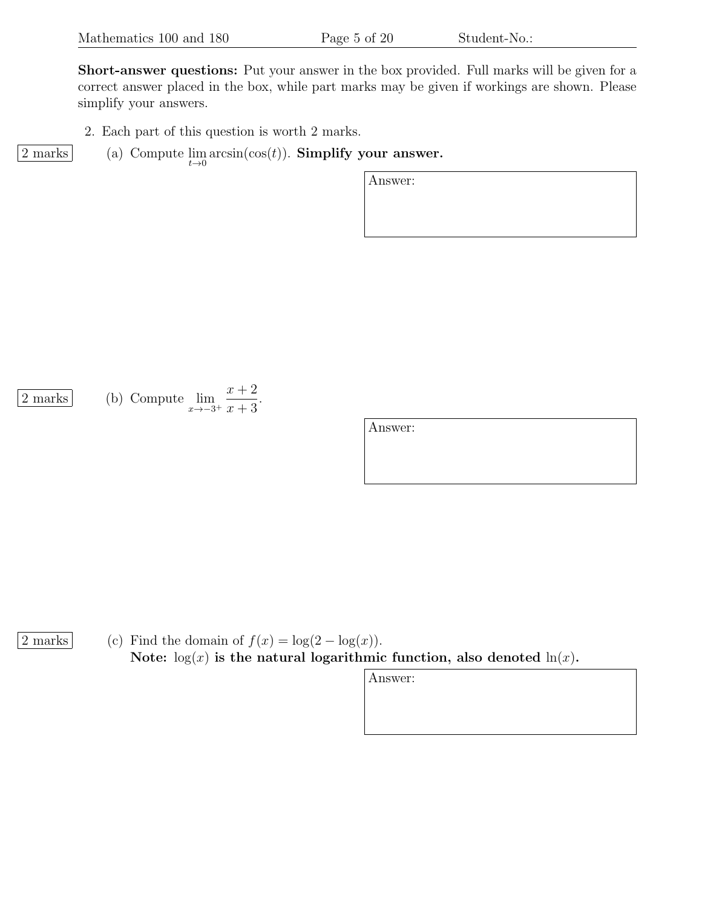Short-answer questions: Put your answer in the box provided. Full marks will be given for a correct answer placed in the box, while part marks may be given if workings are shown. Please simplify your answers.

- 2. Each part of this question is worth 2 marks.
- $\frac{2 \text{ marks}}{\text{(a) Compute}} \lim_{t \to 0} \arcsin(\cos(t))$ . Simplify your answer.

Answer:

 $\frac{2 \text{ marks}}{\text{s} \rightarrow -3^+}$  (b) Compute  $\lim_{x \rightarrow -3^+}$  $x + 2$  $x + 3$ .

Answer:

2 marks (c) Find the domain of  $f(x) = \log(2 - \log(x))$ . Note:  $log(x)$  is the natural logarithmic function, also denoted  $ln(x)$ .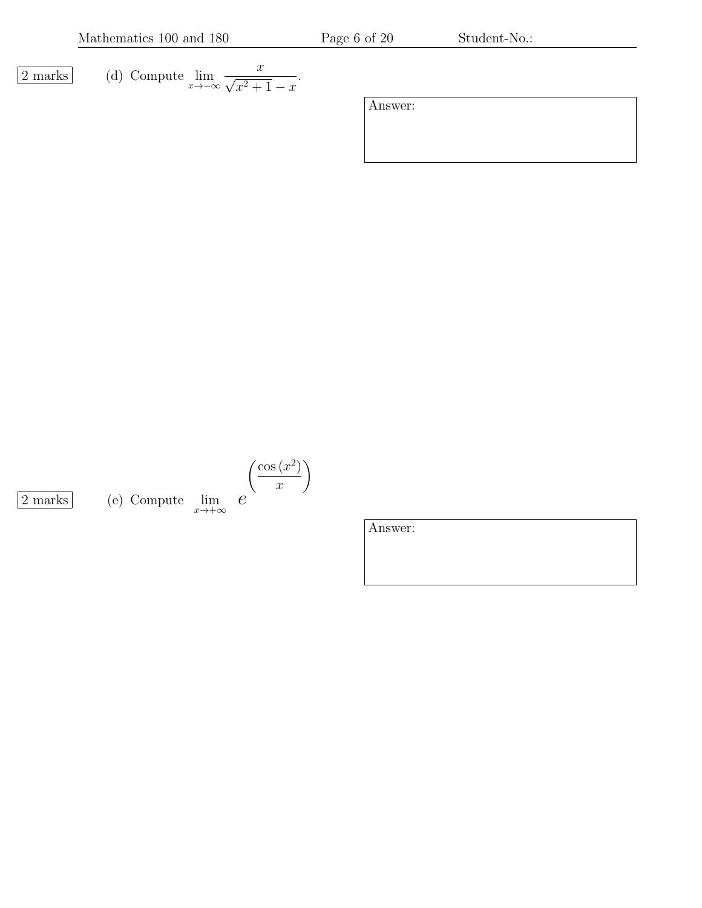Mathematics 100 and 180 Page 6 of 20 Student-No.:

.

$$
\boxed{2 \text{ marks}} \qquad \text{(d) Compute } \lim_{x \to -\infty} \frac{x}{\sqrt{x^2 + 1} - x}
$$

Answer:

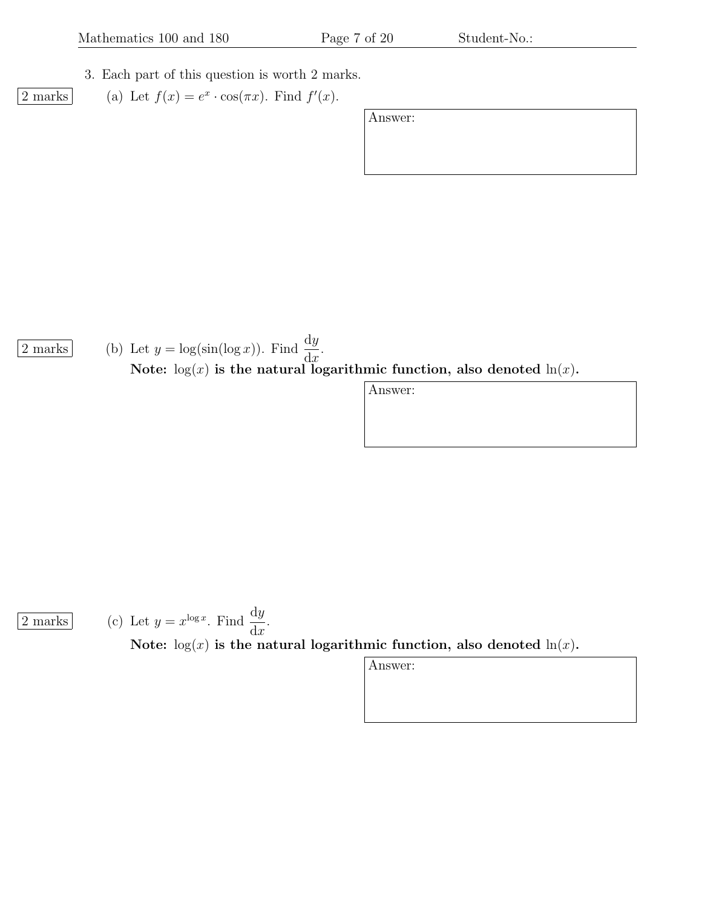3. Each part of this question is worth 2 marks.

2 marks (a) Let  $f(x) = e^x \cdot \cos(\pi x)$ . Find  $f'(x)$ .

Answer:

 $\overline{2 \text{ marks}}$  (b) Let  $y = \log(\sin(\log x))$ . Find  $\frac{dy}{dx}$  $dx$ . Note:  $log(x)$  is the natural logarithmic function, also denoted  $ln(x)$ .

Answer:

 $\overline{2 \text{ marks}}$  (c) Let  $y = x^{\log x}$ . Find  $\frac{dy}{dx}$  $dx$ . Note:  $log(x)$  is the natural logarithmic function, also denoted  $ln(x)$ .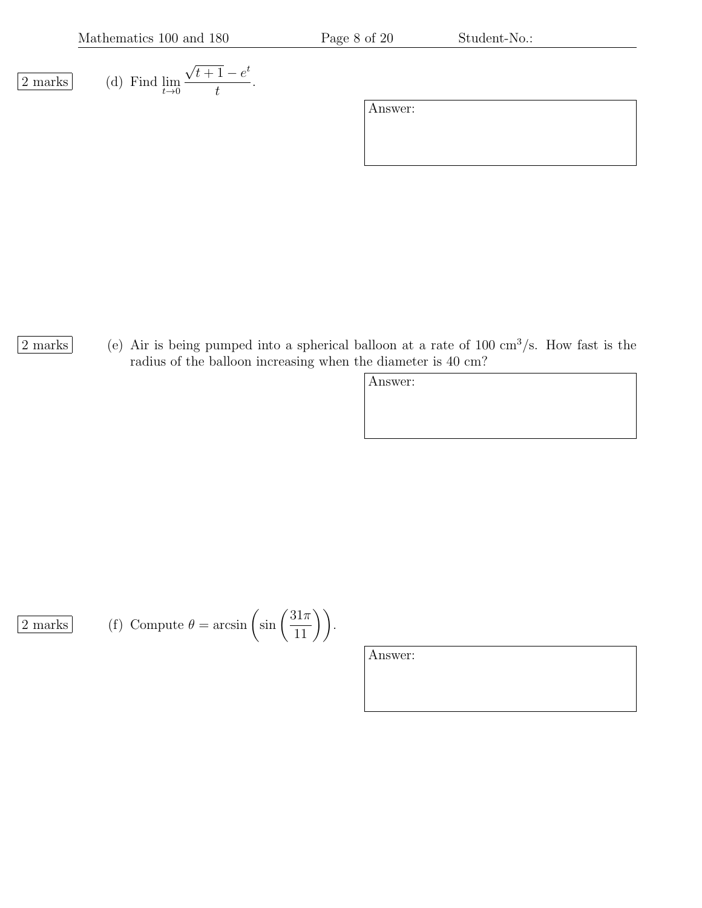Mathematics 100 and 180 Page 8 of 20 Student-No.:

$$
\overline{2 \text{ marks}}
$$

 $\frac{2 \text{ marks}}{t \rightarrow 0}$  (d) Find  $\lim_{t \rightarrow 0}$ √  $\overline{t+1} - e^t$ t .

|2 marks| (e) Air is being pumped into a spherical balloon at a rate of 100 cm<sup>3</sup>/s. How fast is the radius of the balloon increasing when the diameter is 40 cm?

Answer:

 $\overline{2 \text{ marks}}$  (f) Compute  $\theta = \arcsin \left( \sin \left( \frac{31\pi}{11} \right) \right)$ .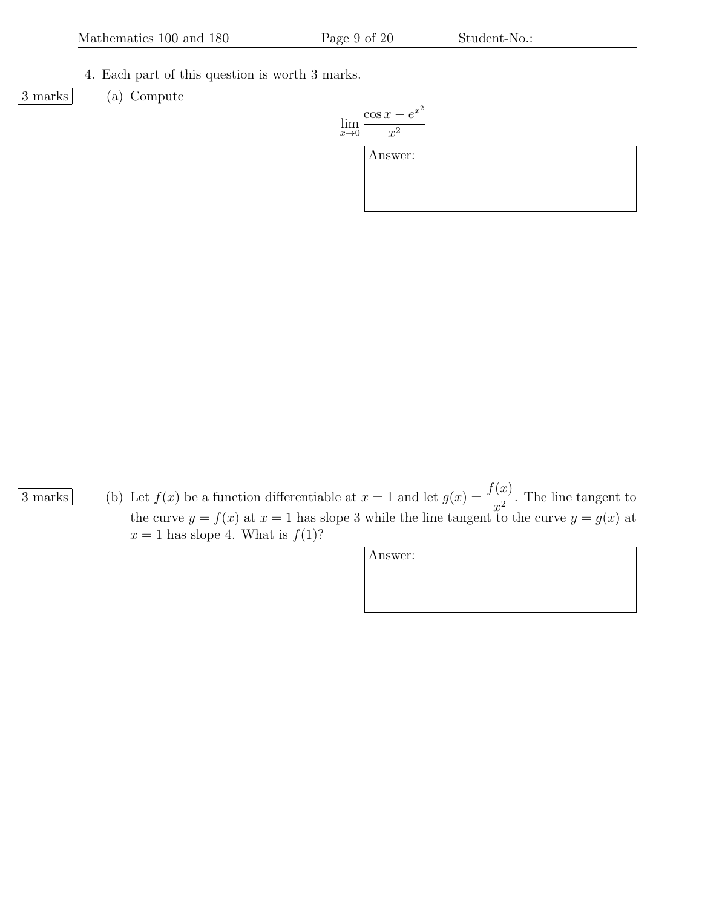- 4. Each part of this question is worth 3 marks.
- 
- 3 marks (a) Compute

$$
\lim_{x \to 0} \frac{\cos x - e^{x^2}}{x^2}
$$

Answer:

- 
- $\overline{3 \text{ marks}}$  (b) Let  $f(x)$  be a function differentiable at  $x = 1$  and let  $g(x) = \frac{f(x)}{2}$  $\frac{d^{(x)}}{x^2}$ . The line tangent to the curve  $y = f(x)$  at  $x = 1$  has slope 3 while the line tangent to the curve  $y = g(x)$  at  $x = 1$  has slope 4. What is  $f(1)$ ?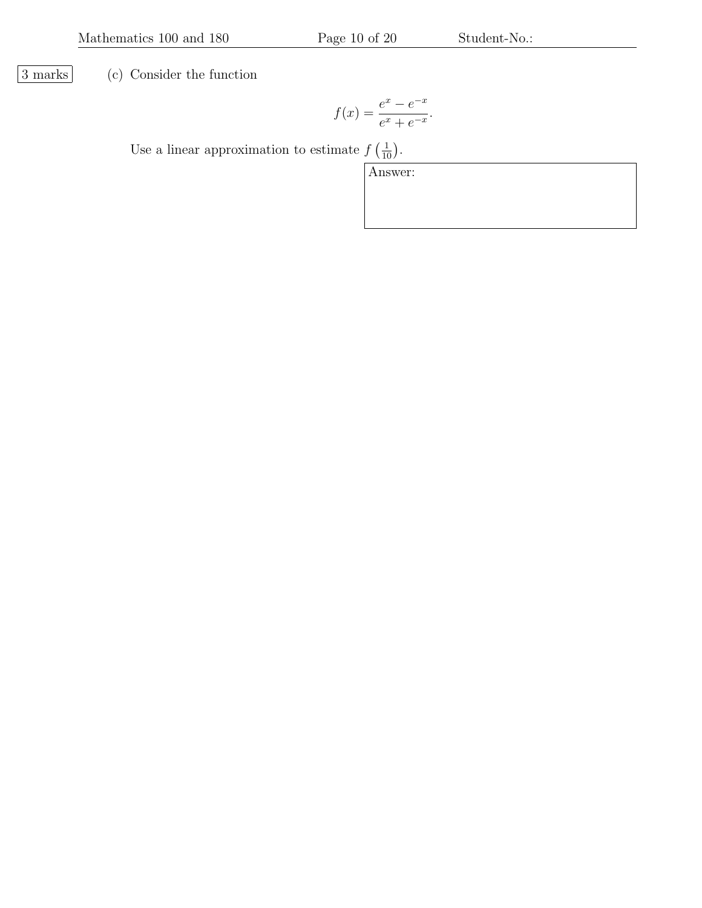3 marks (c) Consider the function

$$
f(x) = \frac{e^x - e^{-x}}{e^x + e^{-x}}.
$$

Use a linear approximation to estimate  $f\left(\frac{1}{10}\right)$ .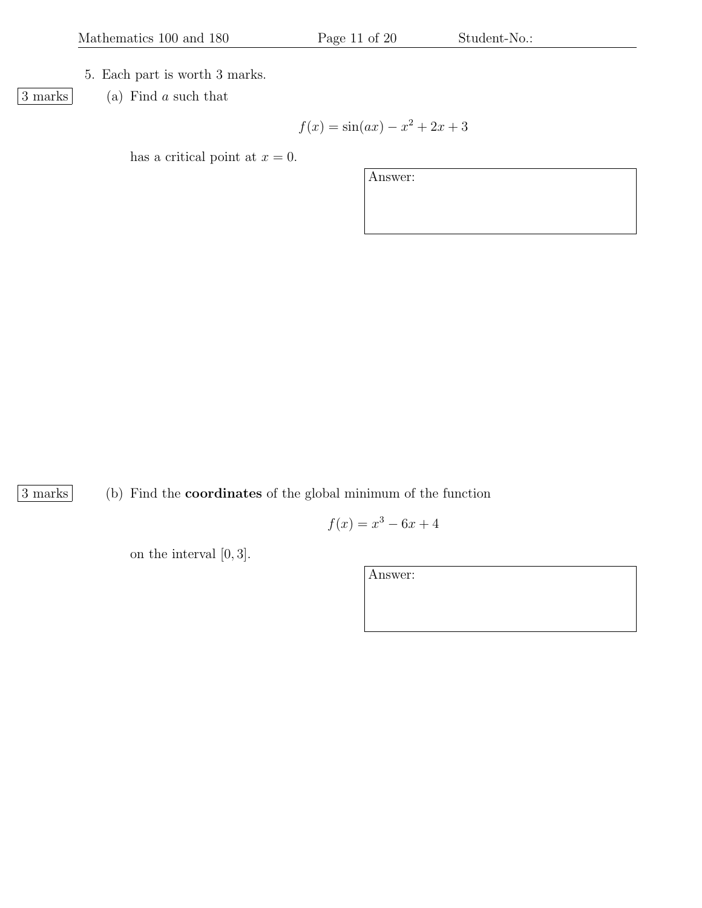## 5. Each part is worth 3 marks.

 $\boxed{3 \text{ marks}}$  (a) Find a such that

$$
f(x) = \sin(ax) - x^2 + 2x + 3
$$

has a critical point at  $x = 0$ .

Answer:

3 marks (b) Find the coordinates of the global minimum of the function

$$
f(x) = x^3 - 6x + 4
$$

on the interval [0, 3].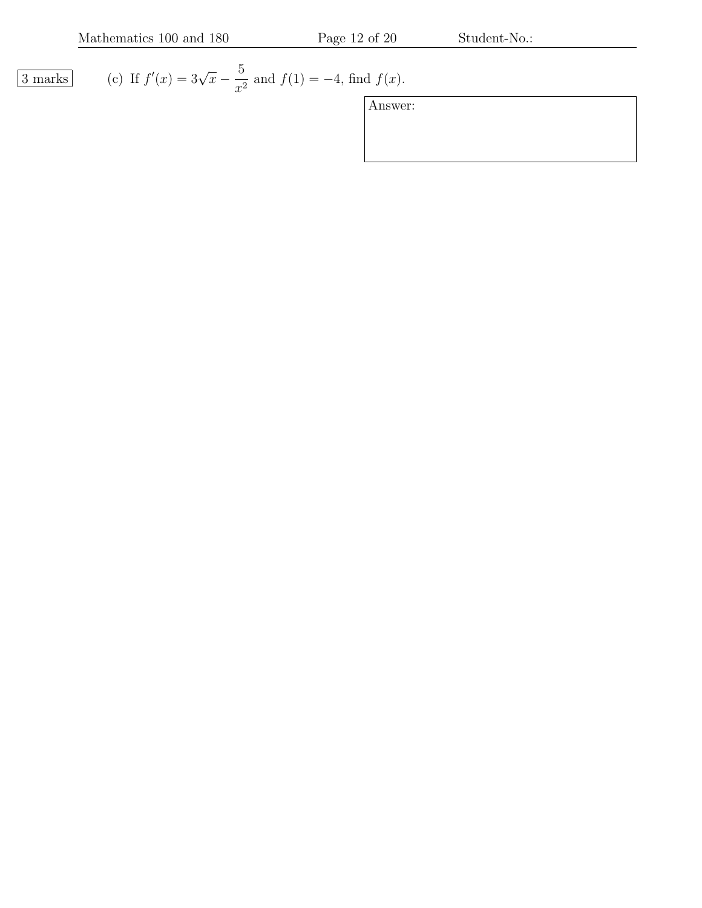$\boxed{3 \text{ marks}}$  $f(x) = 3\sqrt{x} - \frac{5}{x}$  $\frac{0}{x^2}$  and  $f(1) = -4$ , find  $f(x)$ .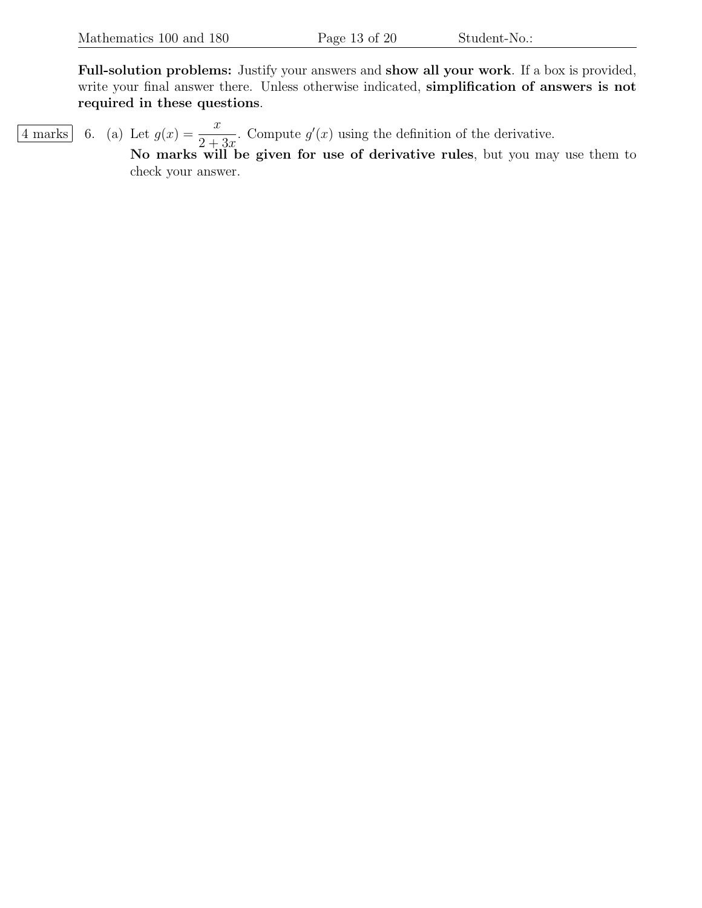Full-solution problems: Justify your answers and show all your work. If a box is provided, write your final answer there. Unless otherwise indicated, simplification of answers is not required in these questions.

 $\overline{4 \text{ marks}}$  6. (a) Let  $g(x) = \frac{x}{2}$  $2+3x$ . Compute  $g'(x)$  using the definition of the derivative. No marks will be given for use of derivative rules, but you may use them to check your answer.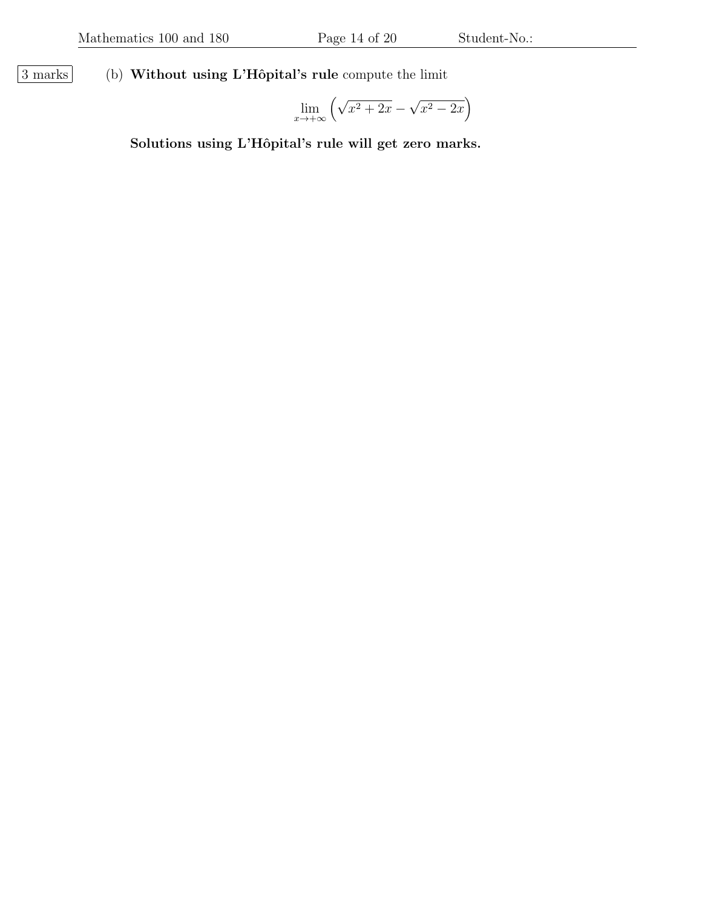$\boxed{3 \text{ marks}}$  (b) Without using L'Hôpital's rule compute the limit

$$
\lim_{x \to +\infty} \left( \sqrt{x^2 + 2x} - \sqrt{x^2 - 2x} \right)
$$

Solutions using L'Hôpital's rule will get zero marks.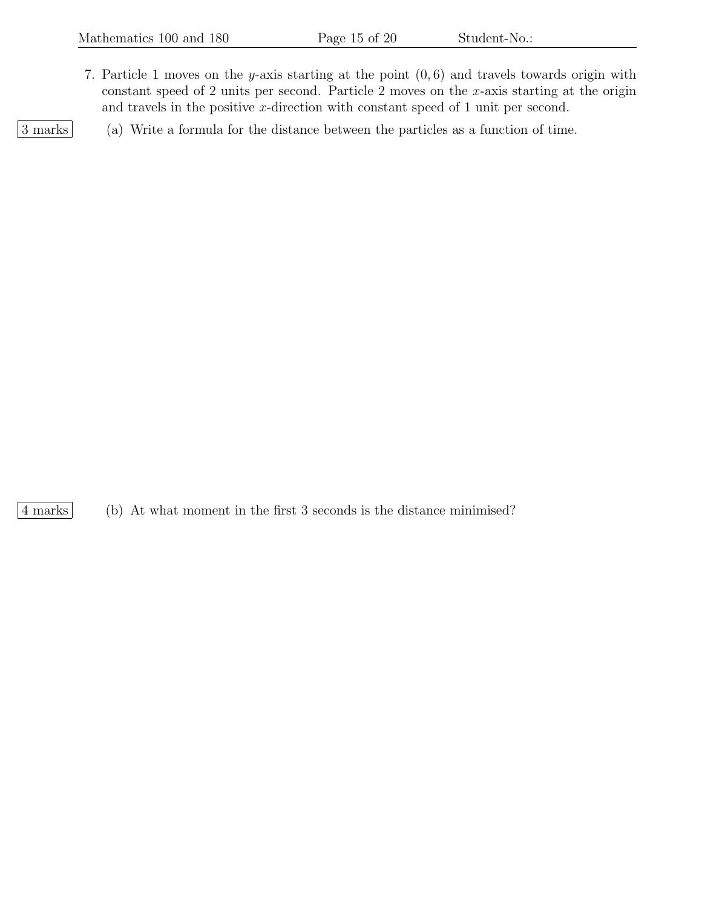7. Particle 1 moves on the y-axis starting at the point  $(0, 6)$  and travels towards origin with constant speed of 2 units per second. Particle 2 moves on the  $x$ -axis starting at the origin and travels in the positive x-direction with constant speed of 1 unit per second.

3 marks (a) Write a formula for the distance between the particles as a function of time.

4 marks (b) At what moment in the first 3 seconds is the distance minimised?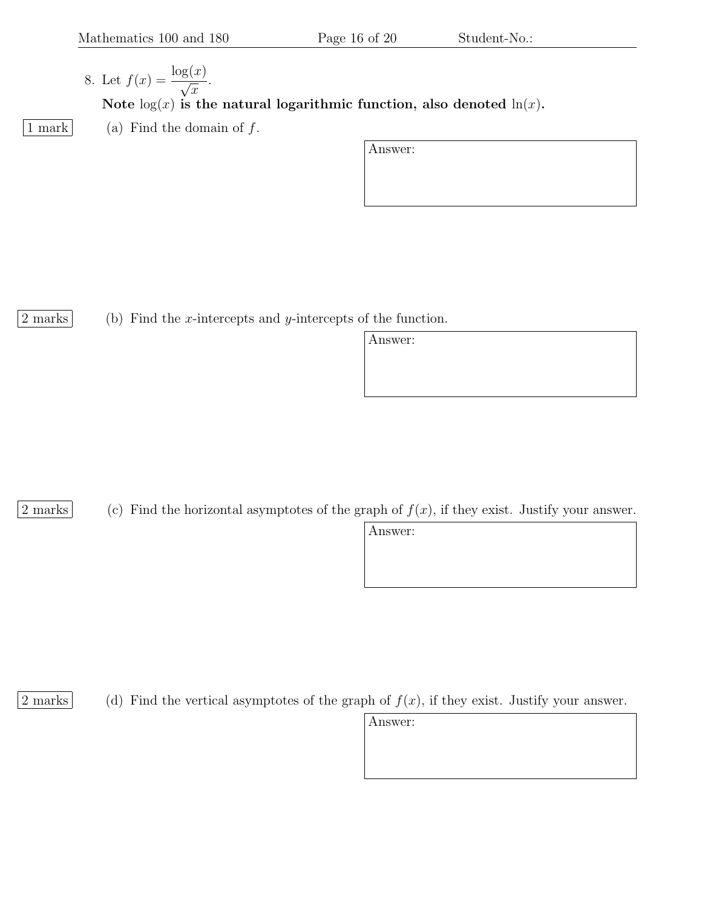- 8. Let  $f(x) = \frac{\log(x)}{x}$  $\overline{x}$ . Note  $log(x)$  is the natural logarithmic function, also denoted  $ln(x)$ .
- 1 mark (a) Find the domain of  $f$ .

Answer:

2 marks (b) Find the x-intercepts and y-intercepts of the function.

Answer:

2 marks (c) Find the horizontal asymptotes of the graph of  $f(x)$ , if they exist. Justify your answer.

Answer:

2 marks (d) Find the vertical asymptotes of the graph of  $f(x)$ , if they exist. Justify your answer.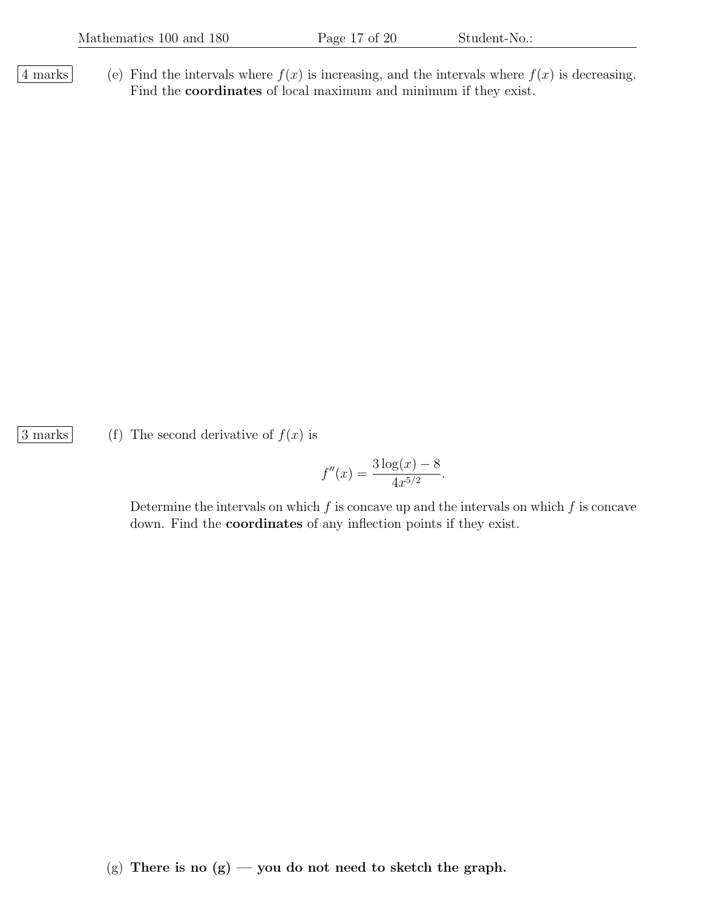4 marks (e) Find the intervals where  $f(x)$  is increasing, and the intervals where  $f(x)$  is decreasing. Find the coordinates of local maximum and minimum if they exist.

3 marks (f) The second derivative of  $f(x)$  is

$$
f''(x) = \frac{3\log(x) - 8}{4x^{5/2}}.
$$

Determine the intervals on which  $f$  is concave up and the intervals on which  $f$  is concave down. Find the coordinates of any inflection points if they exist.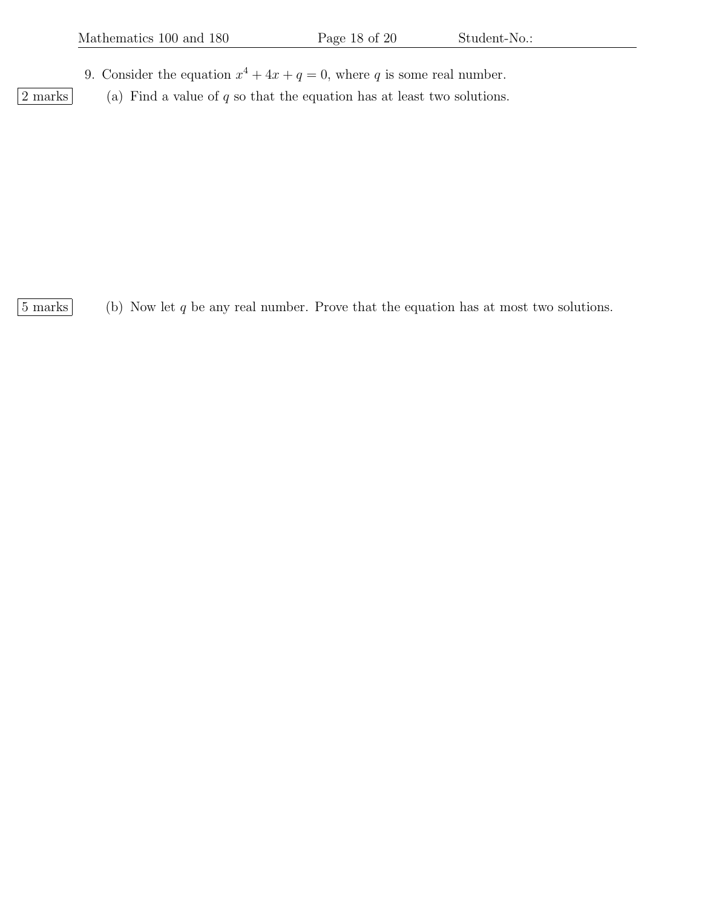- 9. Consider the equation  $x^4 + 4x + q = 0$ , where q is some real number.
- $\boxed{2 \text{ marks}}$  (a) Find a value of q so that the equation has at least two solutions.

 $|5 \text{ marks}|$  (b) Now let q be any real number. Prove that the equation has at most two solutions.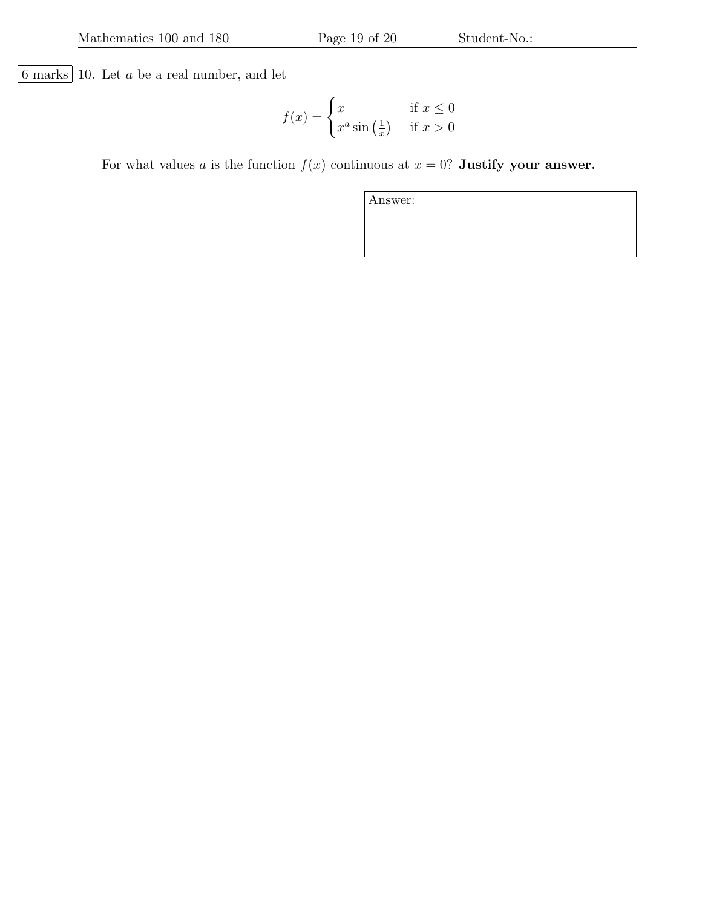$6$  marks  $10$  . Let  $a$  be a real number, and let

$$
f(x) = \begin{cases} x & \text{if } x \le 0\\ x^a \sin\left(\frac{1}{x}\right) & \text{if } x > 0 \end{cases}
$$

For what values a is the function  $f(x)$  continuous at  $x = 0$ ? Justify your answer.